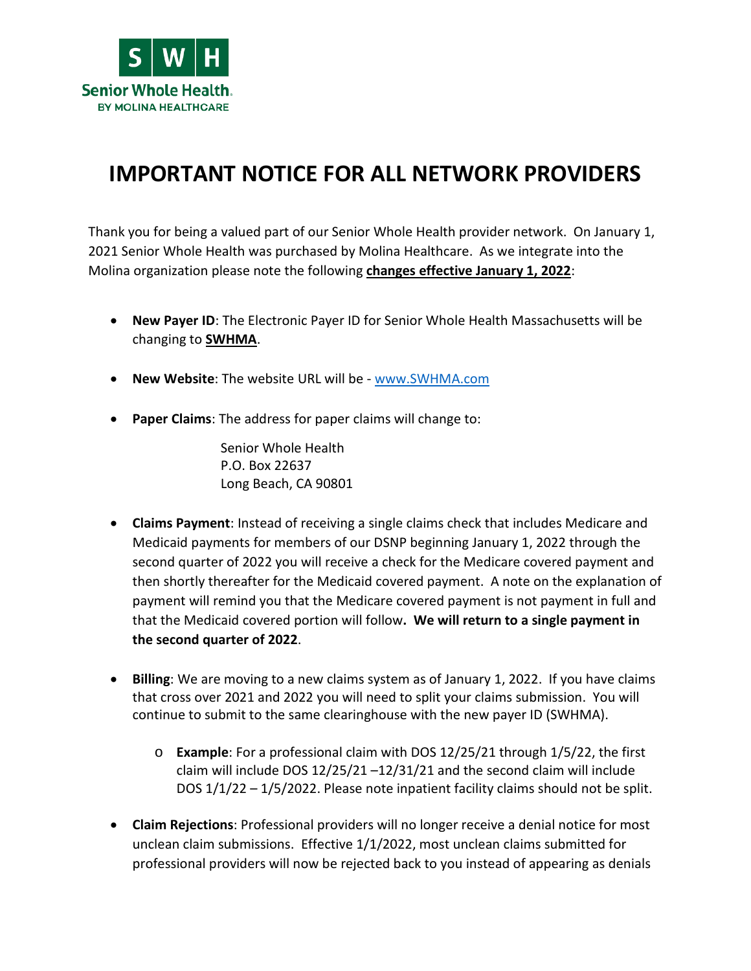

## **IMPORTANT NOTICE FOR ALL NETWORK PROVIDERS**

Thank you for being a valued part of our Senior Whole Health provider network. On January 1, 2021 Senior Whole Health was purchased by Molina Healthcare. As we integrate into the Molina organization please note the following **changes effective January 1, 2022**:

- **New Payer ID**: The Electronic Payer ID for Senior Whole Health Massachusetts will be changing to **SWHMA**.
- **New Website**: The website URL will be [www.SWHMA.com](https://www.swhma.com/)
- **Paper Claims**: The address for paper claims will change to:

Senior Whole Health P.O. Box 22637 Long Beach, CA 90801

- **Claims Payment**: Instead of receiving a single claims check that includes Medicare and Medicaid payments for members of our DSNP beginning January 1, 2022 through the second quarter of 2022 you will receive a check for the Medicare covered payment and then shortly thereafter for the Medicaid covered payment. A note on the explanation of payment will remind you that the Medicare covered payment is not payment in full and that the Medicaid covered portion will follow**. We will return to a single payment in the second quarter of 2022**.
- **Billing**: We are moving to a new claims system as of January 1, 2022. If you have claims that cross over 2021 and 2022 you will need to split your claims submission. You will continue to submit to the same clearinghouse with the new payer ID (SWHMA).
	- o **Example**: For a professional claim with DOS 12/25/21 through 1/5/22, the first claim will include DOS 12/25/21 –12/31/21 and the second claim will include DOS 1/1/22 – 1/5/2022. Please note inpatient facility claims should not be split.
- **Claim Rejections**: Professional providers will no longer receive a denial notice for most unclean claim submissions. Effective 1/1/2022, most unclean claims submitted for professional providers will now be rejected back to you instead of appearing as denials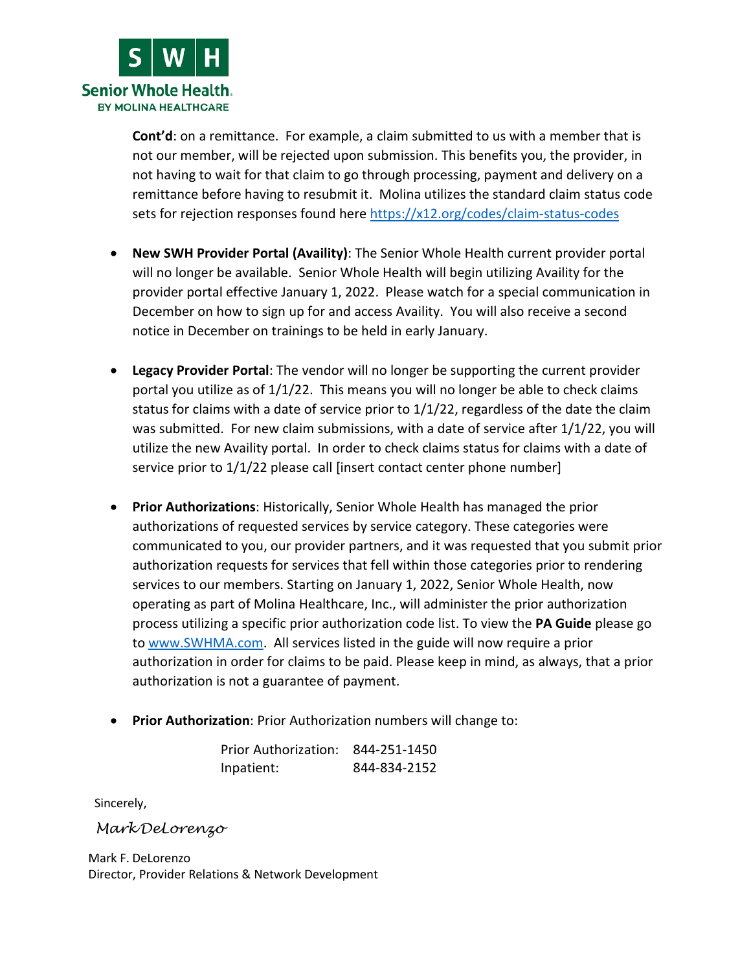

**Cont'd**: on a remittance. For example, a claim submitted to us with a member that is not our member, will be rejected upon submission. This benefits you, the provider, in not having to wait for that claim to go through processing, payment and delivery on a remittance before having to resubmit it. Molina utilizes the standard claim status code sets for rejection responses found here<https://x12.org/codes/claim-status-codes>

- **New SWH Provider Portal (Availity)**: The Senior Whole Health current provider portal will no longer be available. Senior Whole Health will begin utilizing Availity for the provider portal effective January 1, 2022. Please watch for a special communication in December on how to sign up for and access Availity. You will also receive a second notice in December on trainings to be held in early January.
- **Legacy Provider Portal**: The vendor will no longer be supporting the current provider portal you utilize as of 1/1/22. This means you will no longer be able to check claims status for claims with a date of service prior to  $1/1/22$ , regardless of the date the claim was submitted. For new claim submissions, with a date of service after 1/1/22, you will utilize the new Availity portal. In order to check claims status for claims with a date of service prior to  $1/1/22$  please call [insert contact center phone number]
- **Prior Authorizations**: Historically, Senior Whole Health has managed the prior authorizations of requested services by service category. These categories were communicated to you, our provider partners, and it was requested that you submit prior authorization requests for services that fell within those categories prior to rendering services to our members. Starting on January 1, 2022, Senior Whole Health, now operating as part of Molina Healthcare, Inc., will administer the prior authorization process utilizing a specific prior authorization code list. To view the **PA Guide** please go to [www.SWHMA.com.](https://www.swhma.com/) All services listed in the guide will now require a prior authorization in order for claims to be paid. Please keep in mind, as always, that a prior authorization is not a guarantee of payment.
- **Prior Authorization**: Prior Authorization numbers will change to:

| Prior Authorization: 844-251-1450 |              |
|-----------------------------------|--------------|
| Inpatient:                        | 844-834-2152 |

Sincerely,

*Mark DeLorenzo*

Mark F. DeLorenzo Director, Provider Relations & Network Development